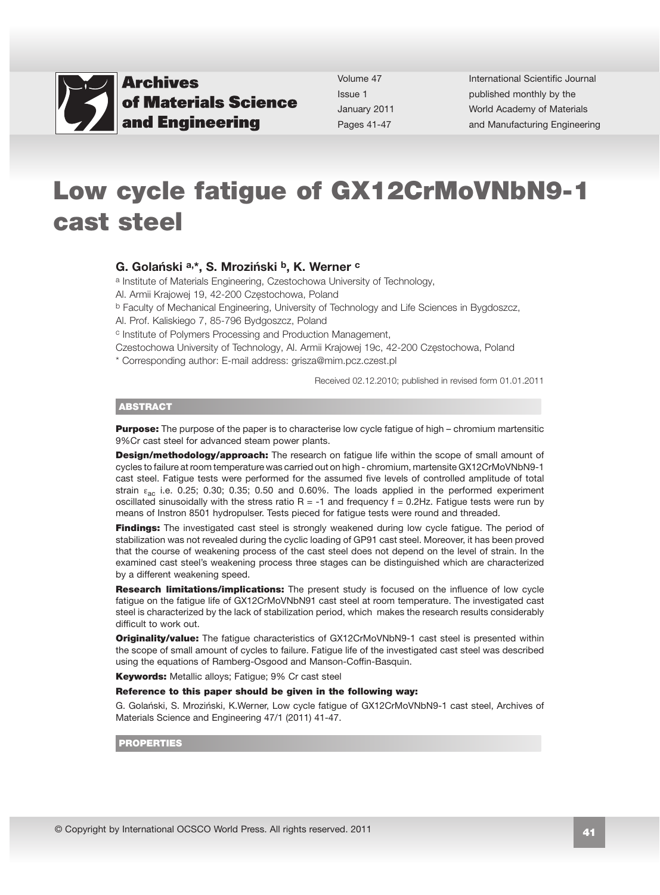

Volume 47 Issue 1 January 2011 Pages 41-47

International Scientific Journal published monthly by the World Academy of Materials [and Manufacturing Engineering](http://www.archivesmse.org) 

# Low cycle fatigue of GX12CrMoVNbN9-1 cast steel

#### G. Golański a,\*, S. Mroziński b, K. Werner c

a Institute of Materials Engineering, Czestochowa University of Technology,

Al. Armii Krajowej 19, 42-200 Częstochowa, Poland

b Faculty of Mechanical Engineering, University of Technology and Life Sciences in Bygdoszcz,

Al. Prof. Kaliskiego 7, 85-796 Bydgoszcz, Poland

c Institute of Polymers Processing and Production Management,

Czestochowa University of Technology, Al. Armii Krajowej 19c, 42-200 Częstochowa, Poland

\* Corresponding author: E-mail address: grisza@mim.pcz.czest.pl

Received 02.12.2010; published in revised form 01.01.2011

#### ABSTRACT

**Purpose:** The purpose of the paper is to characterise low cycle fatique of high – chromium martensitic 9%Cr cast steel for advanced steam power plants.

**Design/methodology/approach:** The research on fatigue life within the scope of small amount of cycles to failure at room temperature was carried out on high - chromium, martensite GX12CrMoVNbN9-1 cast steel. Fatigue tests were performed for the assumed five levels of controlled amplitude of total strain  $\varepsilon_{ac}$  i.e. 0.25; 0.30; 0.35; 0.50 and 0.60%. The loads applied in the performed experiment oscillated sinusoidally with the stress ratio  $R = -1$  and frequency  $f = 0.2$ Hz. Fatigue tests were run by means of Instron 8501 hydropulser. Tests pieced for fatigue tests were round and threaded.

Findings: The investigated cast steel is strongly weakened during low cycle fatigue. The period of stabilization was not revealed during the cyclic loading of GP91 cast steel. Moreover, it has been proved that the course of weakening process of the cast steel does not depend on the level of strain. In the examined cast steel's weakening process three stages can be distinguished which are characterized by a different weakening speed.

**Research limitations/implications:** The present study is focused on the influence of low cycle fatigue on the fatigue life of GX12CrMoVNbN91 cast steel at room temperature. The investigated cast steel is characterized by the lack of stabilization period, which makes the research results considerably difficult to work out.

**Originality/value:** The fatigue characteristics of GX12CrMoVNbN9-1 cast steel is presented within the scope of small amount of cycles to failure. Fatigue life of the investigated cast steel was described using the equations of Ramberg-Osgood and Manson-Coffin-Basquin.

Keywords: Metallic alloys; Fatique; 9% Cr cast steel

#### Reference to this paper should be given in the following way:

G. Golański, S. Mroziński, K.Werner, Low cycle fatigue of GX12CrMoVNbN9-1 cast steel, Archives of Materials Science and Engineering 47/1 (2011) 41-47.

#### **PROPERTIES**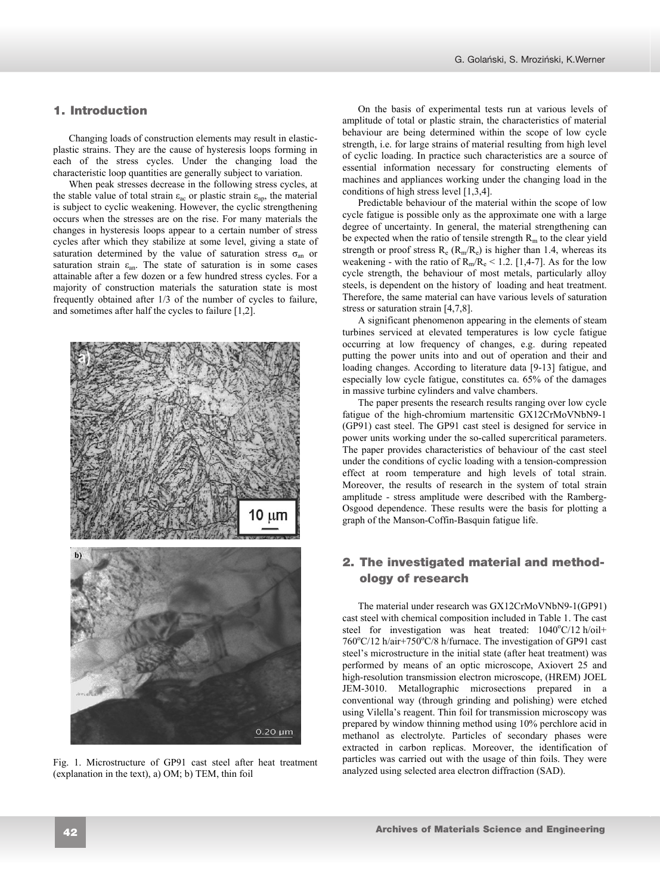# **1. Introduction**  1. Introduction

Changing loads of construction elements may result in elasticplastic strains. They are the cause of hysteresis loops forming in each of the stress cycles. Under the changing load the characteristic loop quantities are generally subject to variation.

When peak stresses decrease in the following stress cycles, at the stable value of total strain  $\varepsilon_{ac}$  or plastic strain  $\varepsilon_{an}$ , the material is subject to cyclic weakening. However, the cyclic strengthening occurs when the stresses are on the rise. For many materials the changes in hysteresis loops appear to a certain number of stress cycles after which they stabilize at some level, giving a state of saturation determined by the value of saturation stress  $\sigma_{an}$  or saturation strain  $\varepsilon_{an}$ . The state of saturation is in some cases attainable after a few dozen or a few hundred stress cycles. For a majority of construction materials the saturation state is most frequently obtained after 1/3 of the number of cycles to failure, and sometimes after half the cycles to failure [1,2].



Fig. 1. Microstructure of GP91 cast steel after heat treatment (explanation in the text), a) OM; b) TEM, thin foil

On the basis of experimental tests run at various levels of amplitude of total or plastic strain, the characteristics of material behaviour are being determined within the scope of low cycle strength, i.e. for large strains of material resulting from high level of cyclic loading. In practice such characteristics are a source of essential information necessary for constructing elements of machines and appliances working under the changing load in the conditions of high stress level [1,3,4].

Predictable behaviour of the material within the scope of low cycle fatigue is possible only as the approximate one with a large degree of uncertainty. In general, the material strengthening can be expected when the ratio of tensile strength  $R_m$  to the clear yield strength or proof stress  $R_e$  ( $R_m/R_e$ ) is higher than 1.4, whereas its weakening - with the ratio of  $R_m/R_e \le 1.2$ . [1,4-7]. As for the low cycle strength, the behaviour of most metals, particularly alloy steels, is dependent on the history of loading and heat treatment. Therefore, the same material can have various levels of saturation stress or saturation strain [4,7,8].

A significant phenomenon appearing in the elements of steam turbines serviced at elevated temperatures is low cycle fatigue occurring at low frequency of changes, e.g. during repeated putting the power units into and out of operation and their and loading changes. According to literature data [9-13] fatigue, and especially low cycle fatigue, constitutes ca. 65% of the damages in massive turbine cylinders and valve chambers.

The paper presents the research results ranging over low cycle fatigue of the high-chromium martensitic GX12CrMoVNbN9-1 (GP91) cast steel. The GP91 cast steel is designed for service in power units working under the so-called supercritical parameters. The paper provides characteristics of behaviour of the cast steel under the conditions of cyclic loading with a tension-compression effect at room temperature and high levels of total strain. Moreover, the results of research in the system of total strain amplitude - stress amplitude were described with the Ramberg-Osgood dependence. These results were the basis for plotting a graph of the Manson-Coffin-Basquin fatigue life.

# **2. The investigated material and**  2. The investigated material and method**methodology of research**  ology of research

The material under research was GX12CrMoVNbN9-1(GP91) cast steel with chemical composition included in Table 1. The cast steel for investigation was heat treated:  $1040^{\circ}$ C/12 h/oil+ 760°C/12 h/air+750°C/8 h/furnace. The investigation of GP91 cast steel's microstructure in the initial state (after heat treatment) was performed by means of an optic microscope, Axiovert 25 and high-resolution transmission electron microscope, (HREM) JOEL JEM-3010. Metallographic microsections prepared in a conventional way (through grinding and polishing) were etched using Vilella's reagent. Thin foil for transmission microscopy was prepared by window thinning method using 10% perchlore acid in methanol as electrolyte. Particles of secondary phases were extracted in carbon replicas. Moreover, the identification of particles was carried out with the usage of thin foils. They were analyzed using selected area electron diffraction (SAD).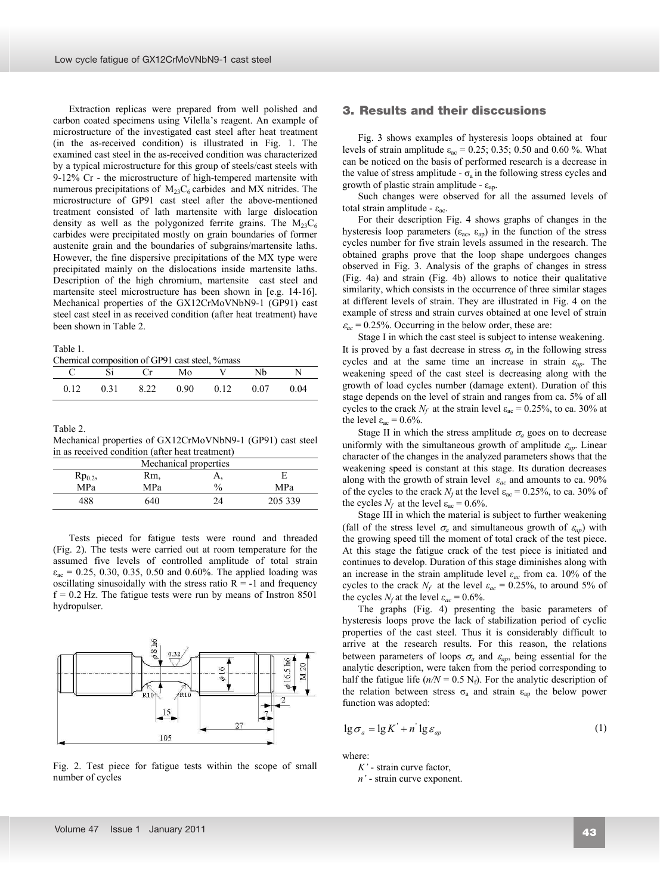Extraction replicas were prepared from well polished and carbon coated specimens using Vilella's reagent. An example of microstructure of the investigated cast steel after heat treatment (in the as-received condition) is illustrated in Fig. 1. The examined cast steel in the as-received condition was characterized by a typical microstructure for this group of steels/cast steels with 9-12% Cr - the microstructure of high-tempered martensite with numerous precipitations of  $M_{23}C_6$  carbides and MX nitrides. The microstructure of GP91 cast steel after the above-mentioned treatment consisted of lath martensite with large dislocation density as well as the polygonized ferrite grains. The  $M_{23}C_6$ carbides were precipitated mostly on grain boundaries of former austenite grain and the boundaries of subgrains/martensite laths. However, the fine dispersive precipitations of the MX type were precipitated mainly on the dislocations inside martensite laths. Description of the high chromium, martensite cast steel and martensite steel microstructure has been shown in [e.g. 14-16]. Mechanical properties of the GX12CrMoVNbN9-1 (GP91) cast steel cast steel in as received condition (after heat treatment) have been shown in Table 2.

#### Table 1.

Chemical composition of GP91 cast steel, %mass

| C Si Cr Mo V Nb N |                                                  |  |  |
|-------------------|--------------------------------------------------|--|--|
|                   | $0.12$ $0.31$ $8.22$ $0.90$ $0.12$ $0.07$ $0.04$ |  |  |

Table 2.

Mechanical properties of GX12CrMoVNbN9-1 (GP91) cast steel in as received condition (after heat treatment)

| Mechanical properties |     |               |         |  |  |
|-----------------------|-----|---------------|---------|--|--|
| $Rp_{0.2}$            | Rm. | л,            |         |  |  |
| MPa                   | MPa | $\frac{0}{0}$ | MPa     |  |  |
| 488                   | 640 | 7Δ            | 205 339 |  |  |
|                       |     |               |         |  |  |

Tests pieced for fatigue tests were round and threaded (Fig. 2). The tests were carried out at room temperature for the assumed five levels of controlled amplitude of total strain  $\varepsilon_{ac}$  = 0.25, 0.30, 0.35, 0.50 and 0.60%. The applied loading was oscillating sinusoidally with the stress ratio  $R = -1$  and frequency  $f = 0.2$  Hz. The fatigue tests were run by means of Instron 8501 hydropulser.



Fig. 2. Test piece for fatigue tests within the scope of small number of cycles

# **3. Results and their disccusions**  3. Results and their disccusions

Fig. 3 shows examples of hysteresis loops obtained at four levels of strain amplitude  $\varepsilon_{ac} = 0.25$ ; 0.35; 0.50 and 0.60 %. What can be noticed on the basis of performed research is a decrease in the value of stress amplitude -  $\sigma_a$  in the following stress cycles and growth of plastic strain amplitude -  $\varepsilon_{ap}$ .

Such changes were observed for all the assumed levels of total strain amplitude -  $\varepsilon_{ac}$ .

For their description Fig. 4 shows graphs of changes in the hysteresis loop parameters ( $\varepsilon_{ac}$ ,  $\varepsilon_{ap}$ ) in the function of the stress cycles number for five strain levels assumed in the research. The obtained graphs prove that the loop shape undergoes changes observed in Fig. 3. Analysis of the graphs of changes in stress (Fig. 4a) and strain (Fig. 4b) allows to notice their qualitative similarity, which consists in the occurrence of three similar stages at different levels of strain. They are illustrated in Fig. 4 on the example of stress and strain curves obtained at one level of strain  $\varepsilon_{ac}$  = 0.25%. Occurring in the below order, these are:

Stage I in which the cast steel is subject to intense weakening. It is proved by a fast decrease in stress  $\sigma_a$  in the following stress cycles and at the same time an increase in strain  $\varepsilon_{ap}$ . The weakening speed of the cast steel is decreasing along with the growth of load cycles number (damage extent). Duration of this stage depends on the level of strain and ranges from ca. 5% of all cycles to the crack  $N_f$  at the strain level  $\varepsilon_{ac} = 0.25\%$ , to ca. 30% at the level  $\varepsilon_{ac} = 0.6\%$ .

Stage II in which the stress amplitude  $\sigma_a$  goes on to decrease uniformly with the simultaneous growth of amplitude  $\varepsilon_{ap}$ . Linear character of the changes in the analyzed parameters shows that the weakening speed is constant at this stage. Its duration decreases along with the growth of strain level  $\varepsilon_{ac}$  and amounts to ca. 90% of the cycles to the crack  $N_f$  at the level  $\varepsilon_{ac} = 0.25\%$ , to ca. 30% of the cycles  $N_f$  at the level  $\varepsilon_{ac} = 0.6\%$ .

Stage III in which the material is subject to further weakening (fall of the stress level  $\sigma_a$  and simultaneous growth of  $\varepsilon_{ap}$ ) with the growing speed till the moment of total crack of the test piece. At this stage the fatigue crack of the test piece is initiated and continues to develop. Duration of this stage diminishes along with an increase in the strain amplitude level  $\varepsilon_{ac}$  from ca. 10% of the cycles to the crack  $N_f$  at the level  $\varepsilon_{ac} = 0.25\%$ , to around 5% of the cycles  $N_f$  at the level  $\varepsilon_{ac} = 0.6\%$ .

The graphs (Fig. 4) presenting the basic parameters of hysteresis loops prove the lack of stabilization period of cyclic properties of the cast steel. Thus it is considerably difficult to arrive at the research results. For this reason, the relations between parameters of loops  $\sigma_a$  and  $\varepsilon_{ap}$ , being essential for the analytic description, were taken from the period corresponding to half the fatigue life ( $n/N = 0.5$  N<sub>f</sub>). For the analytic description of the relation between stress  $\sigma_a$  and strain  $\varepsilon_{ap}$  the below power function was adopted:

$$
\lg \sigma_a = \lg K' + n' \lg \varepsilon_{ap} \tag{1}
$$

where:

*K'* - strain curve factor,

*n'* - strain curve exponent.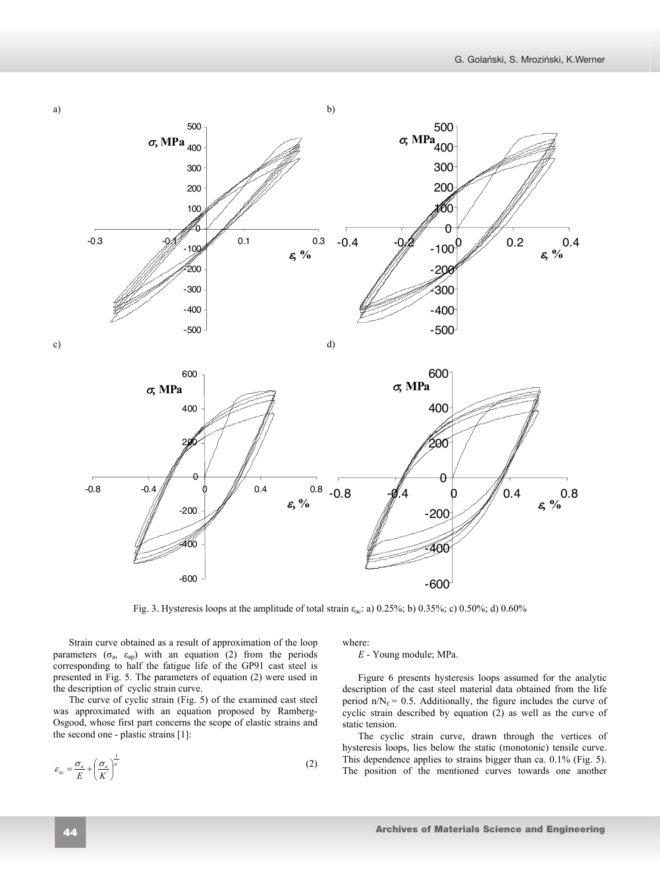

Fig. 3. Hysteresis loops at the amplitude of total strain  $\varepsilon_{ac}$ : a) 0.25%; b) 0.35%; c) 0.50%; d) 0.60%

Strain curve obtained as a result of approximation of the loop parameters  $(\sigma_a, \epsilon_{ap})$  with an equation (2) from the periods corresponding to half the fatigue life of the GP91 cast steel is presented in Fig. 5. The parameters of equation (2) were used in the description of cyclic strain curve.

The curve of cyclic strain (Fig. 5) of the examined cast steel was approximated with an equation proposed by Ramberg-Osgood, whose first part concerns the scope of elastic strains and the second one - plastic strains [1]:

$$
\varepsilon_{ac} = \frac{\sigma_a}{E} + \left(\frac{\sigma_a}{K'}\right)^{\frac{1}{n}} \tag{2}
$$

where:

*E* - Young module; MPa.

Figure 6 presents hysteresis loops assumed for the analytic description of the cast steel material data obtained from the life period  $n/N_f = 0.5$ . Additionally, the figure includes the curve of cyclic strain described by equation (2) as well as the curve of static tension.

The cyclic strain curve, drawn through the vertices of hysteresis loops, lies below the static (monotonic) tensile curve. This dependence applies to strains bigger than ca. 0.1% (Fig. 5). The position of the mentioned curves towards one another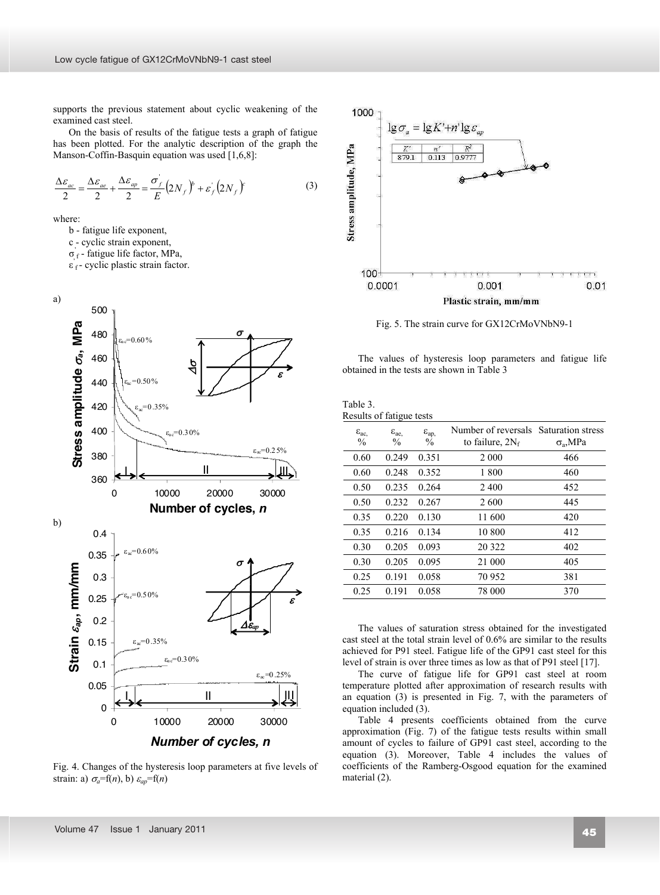supports the previous statement about cyclic weakening of the examined cast steel.

On the basis of results of the fatigue tests a graph of fatigue has been plotted. For the analytic description of the graph the Manson-Coffin-Basquin equation was used [1,6,8]:

$$
\frac{\Delta \varepsilon_{ac}}{2} = \frac{\Delta \varepsilon_{ac}}{2} + \frac{\Delta \varepsilon_{ap}}{2} = \frac{\sigma_f}{E} \left( 2N_f \right)^{\beta} + \varepsilon_f \left( 2N_f \right)^{\beta} \tag{3}
$$

where:

b - fatigue life exponent,

c - cyclic strain exponent,

 $\sigma_f$ - fatigue life factor, MPa,

 $\varepsilon$ <sub>f</sub> - cyclic plastic strain factor.



Fig. 4. Changes of the hysteresis loop parameters at five levels of strain: a)  $\sigma_a = f(n)$ , b)  $\varepsilon_{ap} = f(n)$ 



Fig. 5. The strain curve for GX12CrMoVNbN9-1

The values of hysteresis loop parameters and fatigue life obtained in the tests are shown in Table 3

| Table 3.                 |  |
|--------------------------|--|
| Results of fatigue tests |  |

| $\varepsilon_{ac}$<br>$\frac{0}{0}$ | $\varepsilon_{ae}$<br>$\frac{0}{0}$ | $\varepsilon_{ap}$<br>$\frac{0}{0}$ | Number of reversals<br>to failure, $2N_f$ | <b>Saturation stress</b><br>$\sigma_{\rm a}$ , MPa |
|-------------------------------------|-------------------------------------|-------------------------------------|-------------------------------------------|----------------------------------------------------|
| 0.60                                | 0.249                               | 0.351                               | 2 0 0 0                                   | 466                                                |
| 0.60                                | 0.248                               | 0.352                               | 1800                                      | 460                                                |
| 0.50                                | 0.235                               | 0.264                               | 2 4 0 0                                   | 452                                                |
| 0.50                                | 0.232                               | 0.267                               | 2600                                      | 445                                                |
| 0.35                                | 0.220                               | 0.130                               | 11 600                                    | 420                                                |
| 0.35                                | 0.216                               | 0.134                               | 10 800                                    | 412                                                |
| 0.30                                | 0.205                               | 0.093                               | 20 322                                    | 402                                                |
| 0.30                                | 0.205                               | 0.095                               | 21 000                                    | 405                                                |
| 0.25                                | 0.191                               | 0.058                               | 70 952                                    | 381                                                |
| 0.25                                | 0.191                               | 0.058                               | 78 000                                    | 370                                                |
|                                     |                                     |                                     |                                           |                                                    |

The values of saturation stress obtained for the investigated cast steel at the total strain level of 0.6% are similar to the results achieved for P91 steel. Fatigue life of the GP91 cast steel for this level of strain is over three times as low as that of P91 steel [17].

The curve of fatigue life for GP91 cast steel at room temperature plotted after approximation of research results with an equation (3) is presented in Fig. 7, with the parameters of equation included (3).

Table 4 presents coefficients obtained from the curve approximation (Fig. 7) of the fatigue tests results within small amount of cycles to failure of GP91 cast steel, according to the equation (3). Moreover, Table 4 includes the values of coefficients of the Ramberg-Osgood equation for the examined material (2).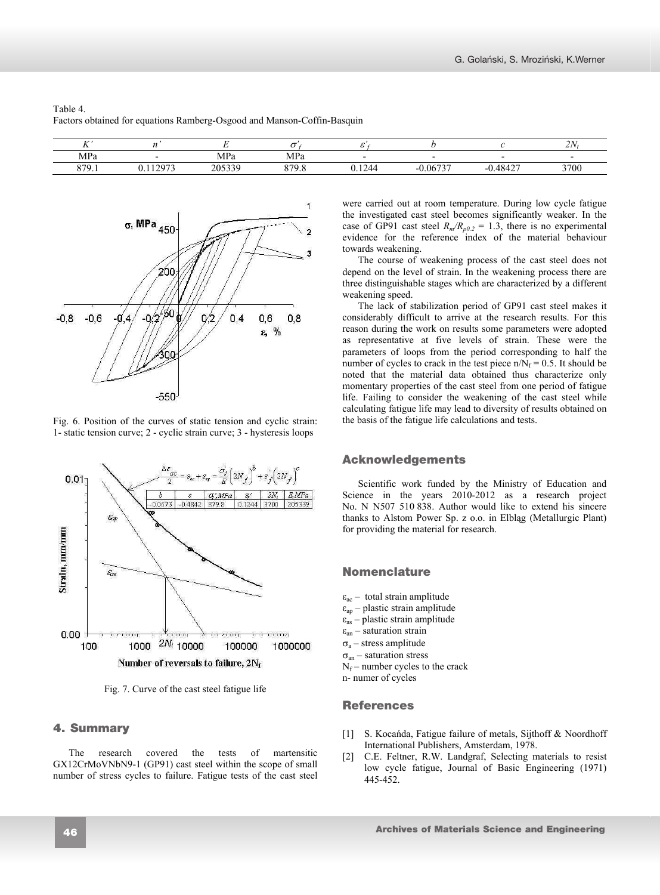| T<br>           |       |                                       |               |                               |              |                               | 227<br>21 |
|-----------------|-------|---------------------------------------|---------------|-------------------------------|--------------|-------------------------------|-----------|
| MPa             |       | $\cdots$<br>$\Lambda$ De<br>а<br>IVIL | ۸D۰<br>тутт а |                               |              | $\overline{\phantom{0}}$      |           |
| 970<br><u>,</u> | 0.272 | 205220<br>ر ر ن                       | 970<br>৴.৻    | $\gamma_{\varDelta\varDelta}$ | 06737<br>- 1 | $\sim$<br>$\sqrt{4}$<br>- ^ 4 | 3700      |





Fig. 6. Position of the curves of static tension and cyclic strain: 1- static tension curve; 2 - cyclic strain curve; 3 - hysteresis loops



Fig. 7. Curve of the cast steel fatigue life

# **4. Summary**  4. Summary

The research covered the tests of martensitic GX12CrMoVNbN9-1 (GP91) cast steel within the scope of small number of stress cycles to failure. Fatigue tests of the cast steel were carried out at room temperature. During low cycle fatigue the investigated cast steel becomes significantly weaker. In the case of GP91 cast steel  $R_m/R_{p0.2} = 1.3$ , there is no experimental evidence for the reference index of the material behaviour towards weakening.

The course of weakening process of the cast steel does not depend on the level of strain. In the weakening process there are three distinguishable stages which are characterized by a different weakening speed.

The lack of stabilization period of GP91 cast steel makes it considerably difficult to arrive at the research results. For this reason during the work on results some parameters were adopted as representative at five levels of strain. These were the parameters of loops from the period corresponding to half the number of cycles to crack in the test piece n/ $N_f = 0.5$ . It should be noted that the material data obtained thus characterize only momentary properties of the cast steel from one period of fatigue life. Failing to consider the weakening of the cast steel while calculating fatigue life may lead to diversity of results obtained on the basis of the fatigue life calculations and tests.

# **Acknowledgements**  Acknowledgements

Scientific work funded by the Ministry of Education and Science in the years 2010-2012 as a research project No. N N507 510 838. Author would like to extend his sincere thanks to Alstom Power Sp. z o.o. in Elbląg (Metallurgic Plant) for providing the material for research.

# **Nomenclature**  Nomenclature

 $\varepsilon_{ac}$  – total strain amplitude  $\varepsilon_{ap}$  – plastic strain amplitude  $\varepsilon_{as}$  – plastic strain amplitude  $\varepsilon$ <sub>an</sub> – saturation strain  $\sigma_{\rm a}$  – stress amplitude  $\sigma_{an}$  – saturation stress  $N_f$  – number cycles to the crack n- numer of cycles

# **References**  References

- [1] S. Kocańda, Fatigue failure of metals, Sijthoff & Noordhoff International Publishers, Amsterdam, 1978.
- [2] C.E. Feltner, R.W. Landgraf, Selecting materials to resist low cycle fatigue, Journal of Basic Engineering (1971) 445-452.